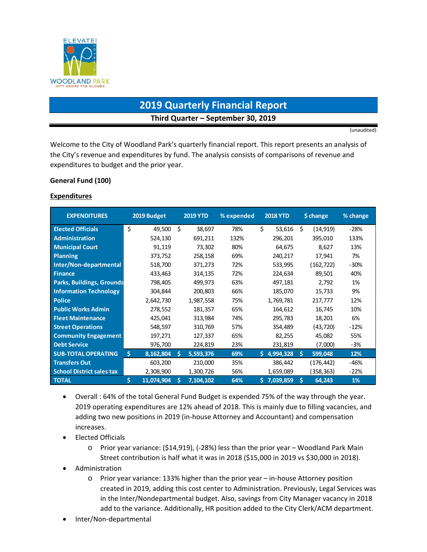

# **2019 Quarterly Financial Report Third Quarter – September 30, 2019**

(unaudited)

Welcome to the City of Woodland Park's quarterly financial report. This report presents an analysis of the City's revenue and expenditures by fund. The analysis consists of comparisons of revenue and expenditures to budget and the prior year.

#### **General Fund (100)**

#### **Expenditures**

| <b>EXPENDITURES</b>              | 2019 Budget     |    | <b>2019 YTD</b> | % expended |    | <b>2018 YTD</b> |    | \$ change | % change |
|----------------------------------|-----------------|----|-----------------|------------|----|-----------------|----|-----------|----------|
| <b>Elected Officials</b>         | \$<br>49,500    | Ś  | 38,697          | 78%        | Ś. | 53,616          | Ś. | (14, 919) | $-28%$   |
| <b>Administration</b>            | 524,130         |    | 691,211         | 132%       |    | 296,201         |    | 395,010   | 133%     |
| <b>Municipal Court</b>           | 91,119          |    | 73,302          | 80%        |    | 64,675          |    | 8,627     | 13%      |
| <b>Planning</b>                  | 373,752         |    | 258,158         | 69%        |    | 240,217         |    | 17,941    | 7%       |
| Inter/Non-departmental           | 518,700         |    | 371,273         | 72%        |    | 533,995         |    | (162,722) | $-30%$   |
| <b>Finance</b>                   | 433,463         |    | 314,135         | 72%        |    | 224,634         |    | 89,501    | 40%      |
| <b>Parks, Buildings, Grounds</b> | 798,405         |    | 499,973         | 63%        |    | 497,181         |    | 2,792     | 1%       |
| <b>Information Technology</b>    | 304,844         |    | 200,803         | 66%        |    | 185,070         |    | 15,733    | 9%       |
| <b>Police</b>                    | 2,642,730       |    | 1,987,558       | 75%        |    | 1,769,781       |    | 217,777   | 12%      |
| <b>Public Works Admin</b>        | 278,552         |    | 181,357         | 65%        |    | 164,612         |    | 16,745    | 10%      |
| <b>Fleet Maintenance</b>         | 425,041         |    | 313,984         | 74%        |    | 295,783         |    | 18,201    | 6%       |
| <b>Street Operations</b>         | 548,597         |    | 310,769         | 57%        |    | 354,489         |    | (43,720)  | $-12%$   |
| <b>Community Engagement</b>      | 197,271         |    | 127,337         | 65%        |    | 82,255          |    | 45,082    | 55%      |
| <b>Debt Service</b>              | 976,700         |    | 224,819         | 23%        |    | 231,819         |    | (7,000)   | -3%      |
| <b>SUB-TOTAL OPERATING</b>       | Š.<br>8,162,804 | S. | 5,593,376       | 69%        |    | \$4,994,328     | Ŝ. | 599,048   | 12%      |
| <b>Transfers Out</b>             | 603,200         |    | 210,000         | 35%        |    | 386,442         |    | (176,442) | -46%     |
| <b>School District sales tax</b> | 2,308,900       |    | 1,300,726       | 56%        |    | 1,659,089       |    | (358,363) | $-22%$   |
| <b>TOTAL</b>                     | Ś<br>11,074,904 | S  | 7,104,102       | 64%        |    | \$7,039,859     | Ś  | 64,243    | 1%       |

- Overall : 64% of the total General Fund Budget is expended 75% of the way through the year. 2019 operating expenditures are 12% ahead of 2018. This is mainly due to filling vacancies, and adding two new positions in 2019 (in-house Attorney and Accountant) and compensation increases.
- Elected Officials
	- o Prior year variance: (\$14,919), (-28%) less than the prior year Woodland Park Main Street contribution is half what it was in 2018 (\$15,000 in 2019 vs \$30,000 in 2018).
- Administration
	- o Prior year variance: 133% higher than the prior year in-house Attorney position created in 2019, adding this cost center to Administration. Previously, Legal Services was in the Inter/Nondepartmental budget. Also, savings from City Manager vacancy in 2018 add to the variance. Additionally, HR position added to the City Clerk/ACM department.
- Inter/Non-departmental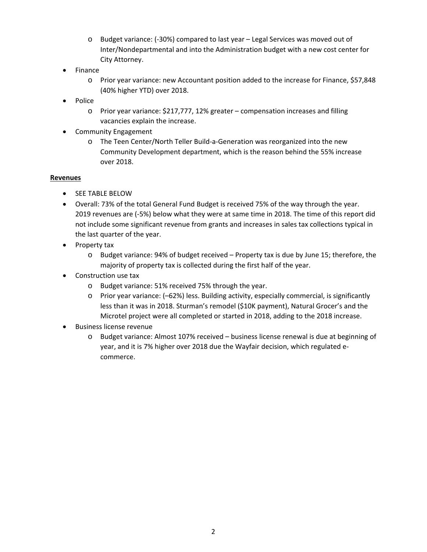- o Budget variance: (-30%) compared to last year Legal Services was moved out of Inter/Nondepartmental and into the Administration budget with a new cost center for City Attorney.
- Finance
	- o Prior year variance: new Accountant position added to the increase for Finance, \$57,848 (40% higher YTD) over 2018.
- Police
	- o Prior year variance: \$217,777, 12% greater compensation increases and filling vacancies explain the increase.
- Community Engagement
	- o The Teen Center/North Teller Build-a-Generation was reorganized into the new Community Development department, which is the reason behind the 55% increase over 2018.

#### **Revenues**

- SEE TABLE BELOW
- Overall: 73% of the total General Fund Budget is received 75% of the way through the year. 2019 revenues are (-5%) below what they were at same time in 2018. The time of this report did not include some significant revenue from grants and increases in sales tax collections typical in the last quarter of the year.
- Property tax
	- o Budget variance: 94% of budget received Property tax is due by June 15; therefore, the majority of property tax is collected during the first half of the year.
- Construction use tax
	- o Budget variance: 51% received 75% through the year.
	- o Prior year variance: (–62%) less. Building activity, especially commercial, is significantly less than it was in 2018. Sturman's remodel (\$10K payment), Natural Grocer's and the Microtel project were all completed or started in 2018, adding to the 2018 increase.
- Business license revenue
	- o Budget variance: Almost 107% received business license renewal is due at beginning of year, and it is 7% higher over 2018 due the Wayfair decision, which regulated ecommerce.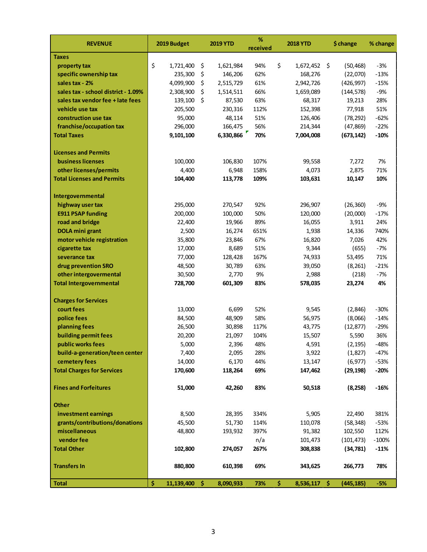| <b>REVENUE</b>                      | 2019 Budget           | <b>2019 YTD</b> | $\%$<br>received | <b>2018 YTD</b>      | \$ change      | % change |
|-------------------------------------|-----------------------|-----------------|------------------|----------------------|----------------|----------|
| <b>Taxes</b>                        |                       |                 |                  |                      |                |          |
| property tax                        | \$<br>1,721,400       | \$<br>1,621,984 | 94%              | \$<br>1,672,452 \$   | (50, 468)      | $-3%$    |
| specific ownership tax              | 235,300               | \$<br>146,206   | 62%              | 168,276              | (22,070)       | $-13%$   |
| sales tax - 2%                      | 4,099,900             | \$<br>2,515,729 | 61%              | 2,942,726            | (426, 997)     | $-15%$   |
| sales tax - school district - 1.09% | 2,308,900             | \$<br>1,514,511 | 66%              | 1,659,089            | (144, 578)     | $-9%$    |
| sales tax vendor fee + late fees    | 139,100               | \$<br>87,530    | 63%              | 68,317               | 19,213         | 28%      |
| vehicle use tax                     | 205,500               | 230,316         | 112%             | 152,398              | 77,918         | 51%      |
| construction use tax                | 95,000                | 48,114          | 51%              | 126,406              | (78, 292)      | $-62%$   |
| franchise/occupation tax            | 296,000               | 166,475         | 56%              | 214,344              | (47, 869)      | $-22%$   |
| <b>Total Taxes</b>                  | 9,101,100             | 6,330,866       | 70%              | 7,004,008            | (673, 142)     | $-10%$   |
| <b>Licenses and Permits</b>         |                       |                 |                  |                      |                |          |
| <b>business licenses</b>            |                       |                 |                  |                      |                | 7%       |
| other licenses/permits              | 100,000               | 106,830         | 107%<br>158%     | 99,558<br>4,073      | 7,272<br>2,875 | 71%      |
| <b>Total Licenses and Permits</b>   | 4,400                 | 6,948           | 109%             | 103,631              |                | 10%      |
|                                     | 104,400               | 113,778         |                  |                      | 10,147         |          |
| Intergovernmental                   |                       |                 |                  |                      |                |          |
| highway user tax                    | 295,000               | 270,547         | 92%              | 296,907              | (26, 360)      | $-9%$    |
| <b>E911 PSAP funding</b>            | 200,000               | 100,000         | 50%              | 120,000              | (20,000)       | $-17%$   |
| road and bridge                     | 22,400                | 19,966          | 89%              | 16,055               | 3,911          | 24%      |
| <b>DOLA mini grant</b>              | 2,500                 | 16,274          | 651%             | 1,938                | 14,336         | 740%     |
| motor vehicle registration          | 35,800                | 23,846          | 67%              | 16,820               | 7,026          | 42%      |
| cigarette tax                       | 17,000                | 8,689           | 51%              | 9,344                | (655)          | $-7%$    |
| severance tax                       | 77,000                | 128,428         | 167%             | 74,933               | 53,495         | 71%      |
| drug prevention SRO                 | 48,500                | 30,789          | 63%              | 39,050               | (8, 261)       | $-21%$   |
| other intergovermental              | 30,500                | 2,770           | 9%               | 2,988                | (218)          | $-7%$    |
| <b>Total Intergovernmental</b>      | 728,700               | 601,309         | 83%              | 578,035              | 23,274         | 4%       |
| <b>Charges for Services</b>         |                       |                 |                  |                      |                |          |
| court fees                          | 13,000                | 6,699           | 52%              | 9,545                | (2,846)        | $-30%$   |
| police fees                         | 84,500                | 48,909          | 58%              | 56,975               | (8,066)        | $-14%$   |
| planning fees                       | 26,500                | 30,898          | 117%             | 43,775               | (12, 877)      | $-29%$   |
| building permit fees                | 20,200                | 21,097          | 104%             | 15,507               | 5,590          | 36%      |
| public works fees                   | 5,000                 | 2,396           | 48%              | 4,591                | (2, 195)       | $-48%$   |
| build-a-generation/teen center      | 7,400                 | 2,095           | 28%              | 3,922                | (1,827)        | $-47%$   |
| cemetery fees                       | 14,000                | 6,170           | 44%              | 13,147               | (6, 977)       | $-53%$   |
| <b>Total Charges for Services</b>   | 170,600               | 118,264         | 69%              | 147,462              | (29, 198)      | $-20%$   |
|                                     |                       |                 |                  |                      |                |          |
| <b>Fines and Forfeitures</b>        | 51,000                | 42,260          | 83%              | 50,518               | (8, 258)       | $-16%$   |
| <b>Other</b>                        |                       |                 |                  |                      |                |          |
| investment earnings                 | 8,500                 | 28,395          | 334%             | 5,905                | 22,490         | 381%     |
| grants/contributions/donations      | 45,500                | 51,730          | 114%             | 110,078              | (58, 348)      | $-53%$   |
| miscellaneous                       | 48,800                | 193,932         | 397%             | 91,382               | 102,550        | 112%     |
| vendor fee                          |                       |                 | n/a              | 101,473              | (101, 473)     | $-100%$  |
| <b>Total Other</b>                  | 102,800               | 274,057         | 267%             | 308,838              | (34, 781)      | $-11%$   |
|                                     |                       |                 |                  |                      |                |          |
| <b>Transfers In</b>                 | 880,800               | 610,398         | 69%              | 343,625              | 266,773        | 78%      |
| <b>Total</b>                        | \$<br>$11,139,400$ \$ | 8,090,933       | 73%              | \$<br>$8,536,117$ \$ | (445, 185)     | $-5%$    |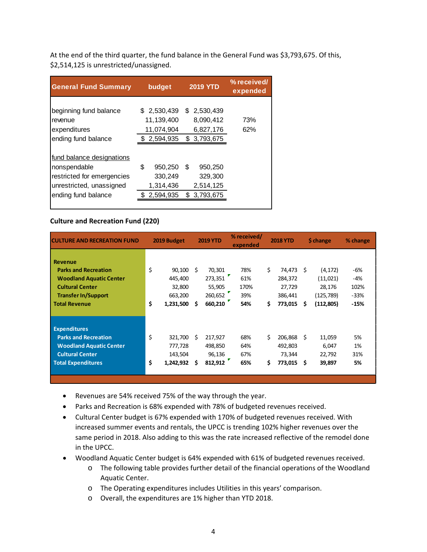At the end of the third quarter, the fund balance in the General Fund was \$3,793,675. Of this, \$2,514,125 is unrestricted/unassigned.

| <b>General Fund Summary</b>                                                                                                | budget                                                | <b>2019 YTD</b>                                          | % received/<br>expended |
|----------------------------------------------------------------------------------------------------------------------------|-------------------------------------------------------|----------------------------------------------------------|-------------------------|
| beginning fund balance<br>revenue<br>expenditures<br>ending fund balance                                                   | \$ 2,530,439<br>11,139,400<br>11,074,904<br>2,594,935 | \$ 2,530,439<br>8,090,412<br>6,827,176<br>3,793,675<br>S | 73%<br>62%              |
| fund balance designations<br>nonspendable<br>restricted for emergencies<br>unrestricted, unassigned<br>ending fund balance | \$<br>950,250<br>330,249<br>1,314,436<br>2,594,935    | \$<br>950,250<br>329,300<br>2,514,125<br>3,793,675<br>\$ |                         |

#### **Culture and Recreation Fund (220)**

| <b>CULTURE AND RECREATION FUND</b>                                                                                                                       |          | 2019 Budget                                         |         | <b>2019 YTD</b>                                   | % received/<br>expended          |          | <b>2018 YTD</b>                                   |         | <b>S</b> change                                           | % change                               |
|----------------------------------------------------------------------------------------------------------------------------------------------------------|----------|-----------------------------------------------------|---------|---------------------------------------------------|----------------------------------|----------|---------------------------------------------------|---------|-----------------------------------------------------------|----------------------------------------|
| <b>Revenue</b><br><b>Parks and Recreation</b><br><b>Woodland Aquatic Center</b><br><b>Cultural Center</b><br><b>Transfer In/Support</b><br>Total Revenue | \$<br>\$ | 90,100<br>445,400<br>32,800<br>663,200<br>1,231,500 | Ŝ.<br>s | 70,301<br>273,351<br>55,905<br>260,652<br>660,210 | 78%<br>61%<br>170%<br>39%<br>54% | \$<br>\$ | 74,473<br>284,372<br>27,729<br>386,441<br>773,015 | Ŝ.<br>S | (4, 172)<br>(11,021)<br>28,176<br>(125, 789)<br>(112,805) | -6%<br>-4%<br>102%<br>$-33%$<br>$-15%$ |
| <b>Expenditures</b><br><b>Parks and Recreation</b><br><b>Woodland Aquatic Center</b><br><b>Cultural Center</b><br><b>Total Expenditures</b>              | \$<br>\$ | 321,700<br>777,728<br>143,504<br>1,242,932          | S<br>S  | 217,927<br>498,850<br>96,136<br>812,912           | 68%<br>64%<br>67%<br>65%         | \$<br>\$ | 206,868<br>492,803<br>73,344<br>773,015           | S<br>S  | 11,059<br>6,047<br>22,792<br>39,897                       | 5%<br>1%<br>31%<br>5%                  |

- Revenues are 54% received 75% of the way through the year.
- Parks and Recreation is 68% expended with 78% of budgeted revenues received.
- Cultural Center budget is 67% expended with 170% of budgeted revenues received. With increased summer events and rentals, the UPCC is trending 102% higher revenues over the same period in 2018. Also adding to this was the rate increased reflective of the remodel done in the UPCC.
- Woodland Aquatic Center budget is 64% expended with 61% of budgeted revenues received.
	- o The following table provides further detail of the financial operations of the Woodland Aquatic Center.
	- o The Operating expenditures includes Utilities in this years' comparison.
	- o Overall, the expenditures are 1% higher than YTD 2018.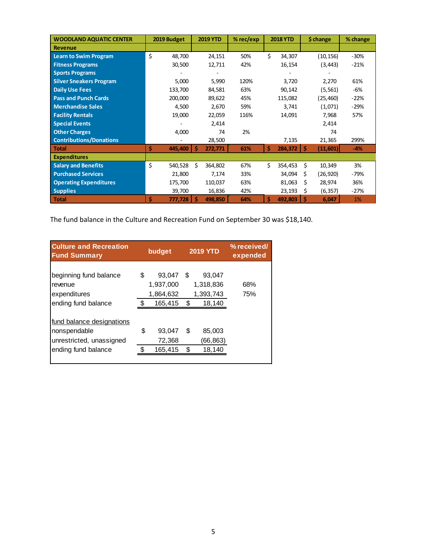| <b>WOODLAND AQUATIC CENTER</b> | 2019 Budget   | <b>2019 YTD</b> | $%$ rec/exp | <b>2018 YTD</b> | \$ change       | % change |
|--------------------------------|---------------|-----------------|-------------|-----------------|-----------------|----------|
| <b>Revenue</b>                 |               |                 |             |                 |                 |          |
| <b>Learn to Swim Program</b>   | \$<br>48,700  | 24,151          | 50%         | Ś.<br>34,307    | (10, 156)       | $-30%$   |
| <b>Fitness Programs</b>        | 30,500        | 12,711          | 42%         | 16,154          | (3, 443)        | $-21%$   |
| <b>Sports Programs</b>         |               |                 |             |                 |                 |          |
| <b>Silver Sneakers Program</b> | 5,000         | 5,990           | 120%        | 3,720           | 2,270           | 61%      |
| <b>Daily Use Fees</b>          | 133,700       | 84,581          | 63%         | 90,142          | (5, 561)        | -6%      |
| <b>Pass and Punch Cards</b>    | 200,000       | 89,622          | 45%         | 115,082         | (25,460)        | $-22%$   |
| <b>Merchandise Sales</b>       | 4,500         | 2,670           | 59%         | 3,741           | (1,071)         | $-29%$   |
| <b>Facility Rentals</b>        | 19,000        | 22,059          | 116%        | 14,091          | 7,968           | 57%      |
| <b>Special Events</b>          |               | 2,414           |             |                 | 2,414           |          |
| <b>Other Charges</b>           | 4,000         | 74              | 2%          |                 | 74              |          |
| <b>Contributions/Donations</b> |               | 28,500          |             | 7,135           | 21,365          | 299%     |
| Total                          | \$<br>445,400 | -Ś<br>272,771   | 61%         | \$<br>284,372   | Ś<br>(11, 601)  | $-4%$    |
| <b>Expenditures</b>            |               |                 |             |                 |                 |          |
| <b>Salary and Benefits</b>     | \$<br>540,528 | Ś<br>364,802    | 67%         | Ś.<br>354,453   | Ś.<br>10,349    | 3%       |
| <b>Purchased Services</b>      | 21,800        | 7,174           | 33%         | 34,094          | \$<br>(26, 920) | -79%     |
| <b>Operating Expenditures</b>  | 175,700       | 110,037         | 63%         | 81,063          | Ś<br>28,974     | 36%      |
| <b>Supplies</b>                | 39,700        | 16,836          | 42%         | 23,193          | (6, 357)<br>S   | $-27%$   |
| Total                          | Ś.<br>777,728 | 498,850         | 64%         | \$<br>492,803   | Ŝ<br>6,047      | $1\%$    |

The fund balance in the Culture and Recreation Fund on September 30 was \$18,140.

| <b>Culture and Recreation</b><br><b>Fund Summary</b>                         | budget                                 |    | <b>2019 YTD</b>                  | % received/<br>expended |
|------------------------------------------------------------------------------|----------------------------------------|----|----------------------------------|-------------------------|
| beginning fund balance<br>revenue<br>expenditures                            | \$<br>93,047<br>1,937,000<br>1,864,632 | S  | 93,047<br>1,318,836<br>1,393,743 | 68%<br>75%              |
| ending fund balance                                                          | 165,415                                | \$ | 18,140                           |                         |
| <u>fund balance designations</u><br>nonspendable<br>unrestricted, unassigned | \$<br>93,047<br>72,368                 | S  | 85,003<br>(66, 863)              |                         |
| ending fund balance                                                          | 165,415                                | \$ | 18,140                           |                         |
|                                                                              |                                        |    |                                  |                         |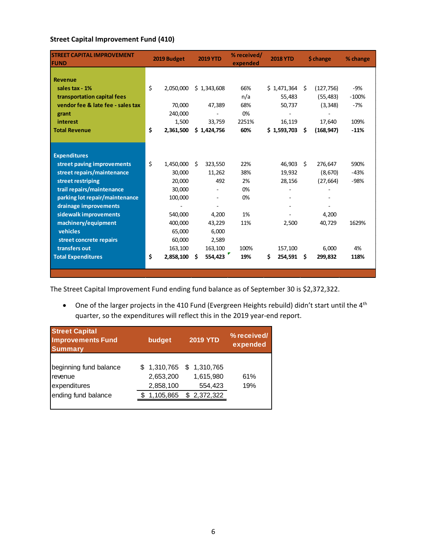### **Street Capital Improvement Fund (410)**

| <b>STREET CAPITAL IMPROVEMENT</b><br><b>FUND</b> |    | 2019 Budget |    | <b>2019 YTD</b>          | % received/<br>expended |     | <b>2018 YTD</b> |    | \$ change  | % change |
|--------------------------------------------------|----|-------------|----|--------------------------|-------------------------|-----|-----------------|----|------------|----------|
|                                                  |    |             |    |                          |                         |     |                 |    |            |          |
| <b>Revenue</b>                                   |    |             |    |                          |                         |     |                 |    |            |          |
| sales tax - 1%                                   | \$ | 2,050,000   |    | \$1,343,608              | 66%                     |     | \$1,471,364     | Ŝ. | (127, 756) | -9%      |
| transportation capital fees                      |    |             |    |                          | n/a                     |     | 55,483          |    | (55, 483)  | $-100%$  |
| vendor fee & late fee - sales tax                |    | 70,000      |    | 47,389                   | 68%                     |     | 50,737          |    | (3, 348)   | $-7%$    |
| grant                                            |    | 240,000     |    |                          | 0%                      |     |                 |    |            |          |
| interest                                         |    | 1,500       |    | 33,759                   | 2251%                   |     | 16,119          |    | 17,640     | 109%     |
| <b>Total Revenue</b>                             | \$ | 2,361,500   |    | \$1,424,756              | 60%                     |     | \$1,593,703     | Ŝ. | (168, 947) | $-11%$   |
|                                                  |    |             |    |                          |                         |     |                 |    |            |          |
| <b>Expenditures</b>                              |    |             |    |                          |                         |     |                 |    |            |          |
| street paving improvements                       | \$ | 1,450,000   | Ŝ. | 323,550                  | 22%                     |     | 46,903          | Ŝ. | 276,647    | 590%     |
| street repairs/maintenance                       |    | 30,000      |    | 11,262                   | 38%                     |     | 19,932          |    | (8,670)    | $-43%$   |
| street restriping                                |    | 20,000      |    | 492                      | 2%                      |     | 28,156          |    | (27, 664)  | $-98%$   |
| trail repairs/maintenance                        |    | 30,000      |    | $\overline{\phantom{0}}$ | 0%                      |     |                 |    |            |          |
| parking lot repair/maintenance                   |    | 100,000     |    |                          | 0%                      |     |                 |    |            |          |
| drainage improvements                            |    |             |    |                          |                         |     |                 |    |            |          |
| sidewalk improvements                            |    | 540,000     |    | 4,200                    | 1%                      |     |                 |    | 4,200      |          |
| machinery/equipment                              |    | 400,000     |    | 43,229                   | 11%                     |     | 2,500           |    | 40,729     | 1629%    |
| vehicles                                         |    | 65,000      |    | 6,000                    |                         |     |                 |    |            |          |
| street concrete repairs                          |    | 60,000      |    | 2,589                    |                         |     |                 |    |            |          |
| transfers out                                    |    | 163,100     |    | 163,100                  | 100%                    |     | 157,100         |    | 6,000      | 4%       |
|                                                  | Ś  |             |    |                          | 19%                     |     |                 |    |            | 118%     |
| <b>Total Expenditures</b>                        |    | 2,858,100   | Ŝ  | 554,423                  |                         | \$. | 254,591         | Ŝ. | 299,832    |          |
|                                                  |    |             |    |                          |                         |     |                 |    |            |          |

The Street Capital Improvement Fund ending fund balance as of September 30 is \$2,372,322.

• One of the larger projects in the 410 Fund (Evergreen Heights rebuild) didn't start until the 4<sup>th</sup> quarter, so the expenditures will reflect this in the 2019 year-end report.

| <b>Street Capital</b><br><b>Improvements Fund</b><br><b>Summary</b>      | budget                                | <b>2019 YTD</b>                                                  | % received/<br>expended |
|--------------------------------------------------------------------------|---------------------------------------|------------------------------------------------------------------|-------------------------|
| beginning fund balance<br>revenue<br>expenditures<br>ending fund balance | 2,653,200<br>2,858,100<br>\$1,105,865 | $$1,310,765$ $$1,310,765$<br>1,615,980<br>554,423<br>\$2,372,322 | 61%<br>19%              |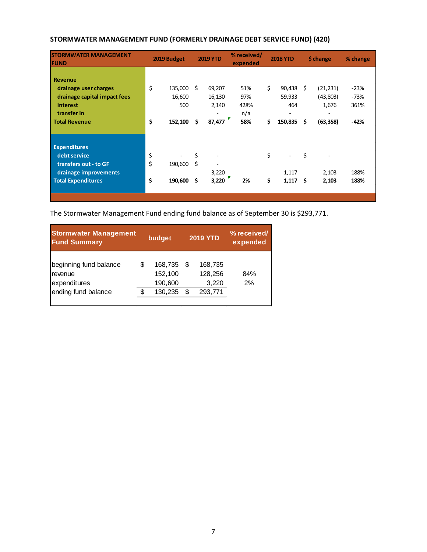| <b>STORMWATER MANAGEMENT</b><br><b>FUND</b>                                                                                |                | 2019 Budget                         |               | <b>2019 YTD</b>                            | % received/<br>expended          |          | <b>2018 YTD</b>                         |          | \$ change                                                               | % change                           |
|----------------------------------------------------------------------------------------------------------------------------|----------------|-------------------------------------|---------------|--------------------------------------------|----------------------------------|----------|-----------------------------------------|----------|-------------------------------------------------------------------------|------------------------------------|
| <b>Revenue</b><br>drainage user charges<br>drainage capital impact fees<br>interest<br>transfer in<br><b>Total Revenue</b> | \$<br>\$       | 135,000<br>16,600<br>500<br>152,100 | - \$<br>\$.   | 69,207<br>16,130<br>2,140<br>۰<br>87,477   | 51%<br>97%<br>428%<br>n/a<br>58% | \$<br>\$ | 90,438<br>59,933<br>464<br>٠<br>150,835 | Ŝ.<br>\$ | (21, 231)<br>(43,803)<br>1,676<br>$\overline{\phantom{0}}$<br>(63, 358) | $-23%$<br>$-73%$<br>361%<br>$-42%$ |
| <b>Expenditures</b><br>debt service<br>transfers out - to GF<br>drainage improvements<br><b>Total Expenditures</b>         | \$<br>\$<br>\$ | 190,600<br>190,600                  | \$<br>Ŝ.<br>Ś | $\overline{\phantom{m}}$<br>3,220<br>3,220 | 2%                               | \$<br>\$ | 1,117<br>1,117                          | \$<br>Ŝ. | 2,103<br>2,103                                                          | 188%<br>188%                       |

### **STORMWATER MANAGEMENT FUND (FORMERLY DRAINAGE DEBT SERVICE FUND) (420)**

The Stormwater Management Fund ending fund balance as of September 30 is \$293,771.

| <b>Stormwater Management</b><br><b>Fund Summary</b>                      |   | budget                                   |        | <b>2019 YTD</b>                        | % received/<br>expended |
|--------------------------------------------------------------------------|---|------------------------------------------|--------|----------------------------------------|-------------------------|
| beginning fund balance<br>revenue<br>expenditures<br>ending fund balance | S | 168,735<br>152,100<br>190,600<br>130,235 | S<br>S | 168,735<br>128,256<br>3,220<br>293,771 | 84%<br>2%               |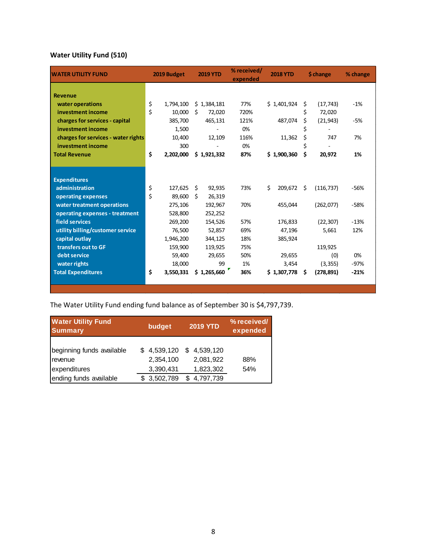### **Water Utility Fund (510)**

| <b>WATER UTILITY FUND</b>           |    | 2019 Budget |    | <b>2019 YTD</b> | % received/<br>expended |    | <b>2018 YTD</b> |    | \$ change  | % change |
|-------------------------------------|----|-------------|----|-----------------|-------------------------|----|-----------------|----|------------|----------|
|                                     |    |             |    |                 |                         |    |                 |    |            |          |
| <b>Revenue</b>                      |    |             |    |                 |                         |    |                 |    |            |          |
| water operations                    | \$ | 1,794,100   |    | \$1,384,181     | 77%                     |    | \$1,401,924     | \$ | (17, 743)  | $-1%$    |
| investment income                   | \$ | 10,000      | Ŝ. | 72,020          | 720%                    |    |                 | \$ | 72,020     |          |
| charges for services - capital      |    | 385,700     |    | 465,131         | 121%                    |    | 487,074         | \$ | (21, 943)  | -5%      |
| investment income                   |    | 1,500       |    |                 | 0%                      |    |                 | \$ |            |          |
| charges for services - water rights |    | 10,400      |    | 12,109          | 116%                    |    | 11,362          | \$ | 747        | 7%       |
| investment income                   |    | 300         |    |                 | 0%                      |    |                 | \$ |            |          |
| <b>Total Revenue</b>                | \$ | 2,202,000   |    | \$1,921,332     | 87%                     |    | \$1,900,360     | \$ | 20,972     | 1%       |
|                                     |    |             |    |                 |                         |    |                 |    |            |          |
|                                     |    |             |    |                 |                         |    |                 |    |            |          |
| <b>Expenditures</b>                 |    |             |    |                 |                         |    |                 |    |            |          |
| administration                      | \$ | 127,625     | \$ | 92,935          | 73%                     | Ś. | 209,672         | Ś. | (116, 737) | $-56%$   |
| operating expenses                  | Ś  | 89,600      | Ŝ. | 26,319          |                         |    |                 |    |            |          |
| water treatment operations          |    | 275,106     |    | 192,967         | 70%                     |    | 455,044         |    | (262,077)  | $-58%$   |
| operating expenses - treatment      |    | 528,800     |    | 252,252         |                         |    |                 |    |            |          |
| field services                      |    | 269,200     |    | 154,526         | 57%                     |    | 176,833         |    | (22, 307)  | $-13%$   |
| utility billing/customer service    |    | 76,500      |    | 52,857          | 69%                     |    | 47,196          |    | 5,661      | 12%      |
| capital outlay                      |    | 1,946,200   |    | 344,125         | 18%                     |    | 385,924         |    |            |          |
| transfers out to GF                 |    | 159,900     |    | 119,925         | 75%                     |    |                 |    | 119,925    |          |
| debt service                        |    | 59,400      |    | 29,655          | 50%                     |    | 29,655          |    | (0)        | 0%       |
| water rights                        |    | 18,000      |    | 99              | 1%                      |    | 3,454           |    | (3, 355)   | $-97%$   |
| <b>Total Expenditures</b>           | \$ | 3,550,331   |    | \$1,265,660     | 36%                     |    | \$1,307,778     | -S | (278, 891) | $-21%$   |
|                                     |    |             |    |                 |                         |    |                 |    |            |          |
|                                     |    |             |    |                 |                         |    |                 |    |            |          |

## The Water Utility Fund ending fund balance as of September 30 is \$4,797,739.

| <b>Water Utility Fund</b><br><b>Summary</b>          | budget                                | <b>2019 YTD</b>                             | % received/<br>expended |
|------------------------------------------------------|---------------------------------------|---------------------------------------------|-------------------------|
| beginning funds available<br>revenue<br>expenditures | \$4,539,120<br>2,354,100<br>3,390,431 | 4,539,120<br>- \$<br>2,081,922<br>1,823,302 | 88%<br>54%              |
| ending funds available                               | \$3,502,789                           | 4,797,739<br>S                              |                         |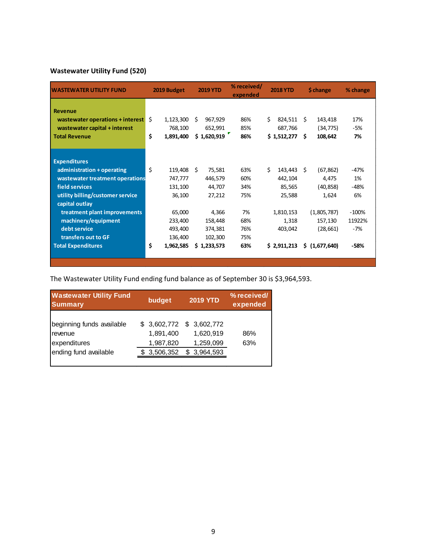### **Wastewater Utility Fund (520)**

| <b>WASTEWATER UTILITY FUND</b>   | 2019 Budget     | <b>2019 YTD</b> | % received/<br>expended | <b>2018 YTD</b> | \$ change       | % change |
|----------------------------------|-----------------|-----------------|-------------------------|-----------------|-----------------|----------|
| <b>Revenue</b>                   |                 |                 |                         |                 |                 |          |
| wastewater operations + interest | Ŝ.<br>1,123,300 | 967,929<br>Ŝ    | 86%                     | Ś.<br>824,511   | 143,418<br>Ŝ.   | 17%      |
| wastewater capital + interest    | 768,100         | 652,991         | 85%                     | 687,766         | (34, 775)       | -5%      |
| <b>Total Revenue</b>             | \$<br>1,891,400 | \$1,620,919     | 86%                     | \$1,512,277     | S.<br>108,642   | 7%       |
|                                  |                 |                 |                         |                 |                 |          |
|                                  |                 |                 |                         |                 |                 |          |
| <b>Expenditures</b>              |                 |                 |                         |                 |                 |          |
| administration + operating       | \$<br>119,408   | - \$<br>75,581  | 63%                     | Ś.<br>143,443   | (67, 862)<br>Ŝ. | $-47%$   |
| wastewater treatment operations  | 747,777         | 446,579         | 60%                     | 442,104         | 4,475           | 1%       |
| field services                   | 131,100         | 44,707          | 34%                     | 85,565          | (40, 858)       | $-48%$   |
| utility billing/customer service | 36,100          | 27,212          | 75%                     | 25,588          | 1,624           | 6%       |
| capital outlay                   |                 |                 |                         |                 |                 |          |
| treatment plant improvements     | 65,000          | 4,366           | 7%                      | 1,810,153       | (1,805,787)     | $-100%$  |
| machinery/equipment              | 233,400         | 158,448         | 68%                     | 1,318           | 157,130         | 11922%   |
| debt service                     | 493,400         | 374,381         | 76%                     | 403,042         | (28, 661)       | $-7%$    |
| transfers out to GF              | 136,400         | 102,300         | 75%                     |                 |                 |          |
| <b>Total Expenditures</b>        | \$<br>1,962,585 | \$1,233,573     | 63%                     | \$2,911,213     | \$ (1,677,640)  | -58%     |
|                                  |                 |                 |                         |                 |                 |          |
|                                  |                 |                 |                         |                 |                 |          |

The Wastewater Utility Fund ending fund balance as of September 30 is \$3,964,593.

| <b>Wastewater Utility Fund</b><br><b>Summary</b>                              | budget                                                | <b>2019 YTD</b> |                                                    | % received/<br>expended |
|-------------------------------------------------------------------------------|-------------------------------------------------------|-----------------|----------------------------------------------------|-------------------------|
| beginning funds available<br>revenue<br>expenditures<br>ending fund available | \$ 3,602,772<br>1,891,400<br>1,987,820<br>\$3,506,352 | \$.             | \$3,602,772<br>1,620,919<br>1,259,099<br>3,964,593 | 86%<br>63%              |